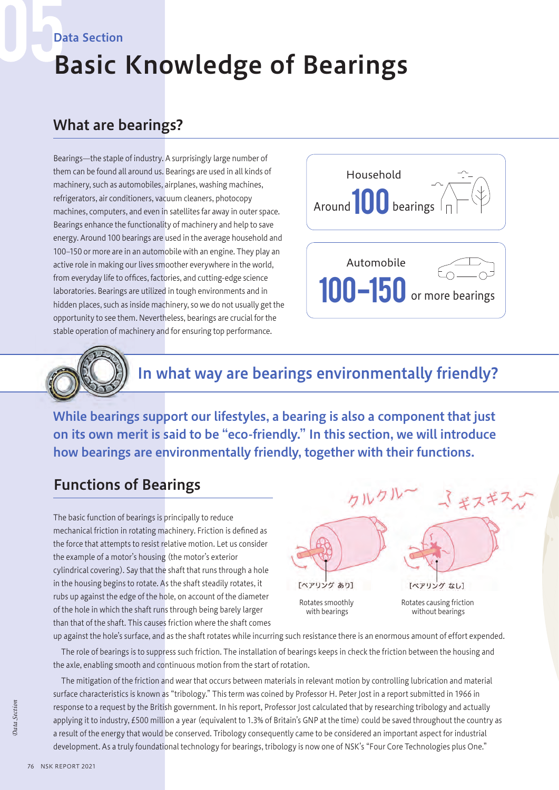#### Data Section

# Basic Knowledge of Bearings

#### What are bearings?

Bearings—the staple of industry. A surprisingly large number of them can be found all around us. Bearings are used in all kinds of machinery, such as automobiles, airplanes, washing machines, refrigerators, air conditioners, vacuum cleaners, photocopy machines, computers, and even in satellites far away in outer space. Bearings enhance the functionality of machinery and help to save energy. Around 100 bearings are used in the average household and 100-150 or more are in an automobile with an engine. They play an active role in making our lives smoother everywhere in the world, from everyday life to offices, factories, and cutting-edge science laboratories. Bearings are utilized in tough environments and in hidden places, such as inside machinery, so we do not usually get the opportunity to see them. Nevertheless, bearings are crucial for the stable operation of machinery and for ensuring top performance.





# In what way are bearings environmentally friendly?

While bearings support our lifestyles, a bearing is also a component that just on its own merit is said to be "eco-friendly." In this section, we will introduce how bearings are environmentally friendly, together with their functions.

## Functions of Bearings

The basic function of bearings is principally to reduce mechanical friction in rotating machinery. Friction is defined as the force that attempts to resist relative motion. Let us consider the example of a motor's housing (the motor's exterior cylindrical covering). Say that the shaft that runs through a hole in the housing begins to rotate. As the shaft steadily rotates, it rubs up against the edge of the hole, on account of the diameter of the hole in which the shaft runs through being barely larger than that of the shaft. This causes friction where the shaft comes



Rotates smoothly with bearings

Rotates causing friction without bearings

up against the hole's surface, and as the shaft rotates while incurring such resistance there is an enormous amount of effort expended.

The role of bearings is to suppress such friction. The installation of bearings keeps in check the friction between the housing and the axle, enabling smooth and continuous motion from the start of rotation.

The mitigation of the friction and wear that occurs between materials in relevant motion by controlling lubrication and material surface characteristics is known as "tribology." This term was coined by Professor H. Peter Jost in a report submitted in 1966 in response to a request by the British government. In his report, Professor Jost calculated that by researching tribology and actually applying it to industry, £500 million a year (equivalent to 1.3% of Britain's GNP at the time) could be saved throughout the country as a result of the energy that would be conserved. Tribology consequently came to be considered an important aspect for industrial development. As a truly foundational technology for bearings, tribology is now one of NSK's "Four Core Technologies plus One."